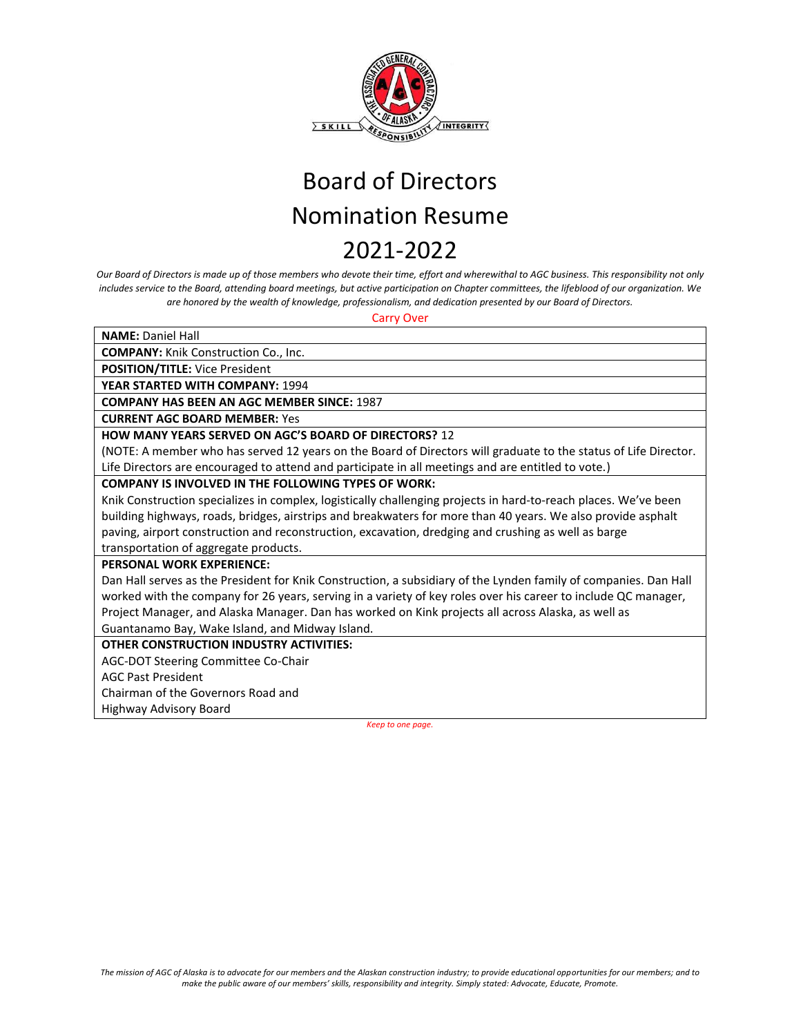

*Our Board of Directors is made up of those members who devote their time, effort and wherewithal to AGC business. This responsibility not only includes service to the Board, attending board meetings, but active participation on Chapter committees, the lifeblood of our organization. We are honored by the wealth of knowledge, professionalism, and dedication presented by our Board of Directors.* 

Carry Over

| <b>NAME: Daniel Hall</b>                                                                                         |
|------------------------------------------------------------------------------------------------------------------|
| <b>COMPANY:</b> Knik Construction Co., Inc.                                                                      |
| POSITION/TITLE: Vice President                                                                                   |
| <b>YEAR STARTED WITH COMPANY: 1994</b>                                                                           |
| <b>COMPANY HAS BEEN AN AGC MEMBER SINCE: 1987</b>                                                                |
| <b>CURRENT AGC BOARD MEMBER: Yes</b>                                                                             |
| <b>HOW MANY YEARS SERVED ON AGC'S BOARD OF DIRECTORS? 12</b>                                                     |
| (NOTE: A member who has served 12 years on the Board of Directors will graduate to the status of Life Director.  |
| Life Directors are encouraged to attend and participate in all meetings and are entitled to vote.)               |
| <b>COMPANY IS INVOLVED IN THE FOLLOWING TYPES OF WORK:</b>                                                       |
| Knik Construction specializes in complex, logistically challenging projects in hard-to-reach places. We've been  |
| building highways, roads, bridges, airstrips and breakwaters for more than 40 years. We also provide asphalt     |
| paving, airport construction and reconstruction, excavation, dredging and crushing as well as barge              |
| transportation of aggregate products.                                                                            |
| <b>PERSONAL WORK EXPERIENCE:</b>                                                                                 |
| Dan Hall serves as the President for Knik Construction, a subsidiary of the Lynden family of companies. Dan Hall |
| worked with the company for 26 years, serving in a variety of key roles over his career to include QC manager,   |
| Project Manager, and Alaska Manager. Dan has worked on Kink projects all across Alaska, as well as               |
| Guantanamo Bay, Wake Island, and Midway Island.                                                                  |
| <b>OTHER CONSTRUCTION INDUSTRY ACTIVITIES:</b>                                                                   |
| AGC-DOT Steering Committee Co-Chair                                                                              |
| <b>AGC Past President</b>                                                                                        |
| Chairman of the Governors Road and                                                                               |
| Highway Advisory Board                                                                                           |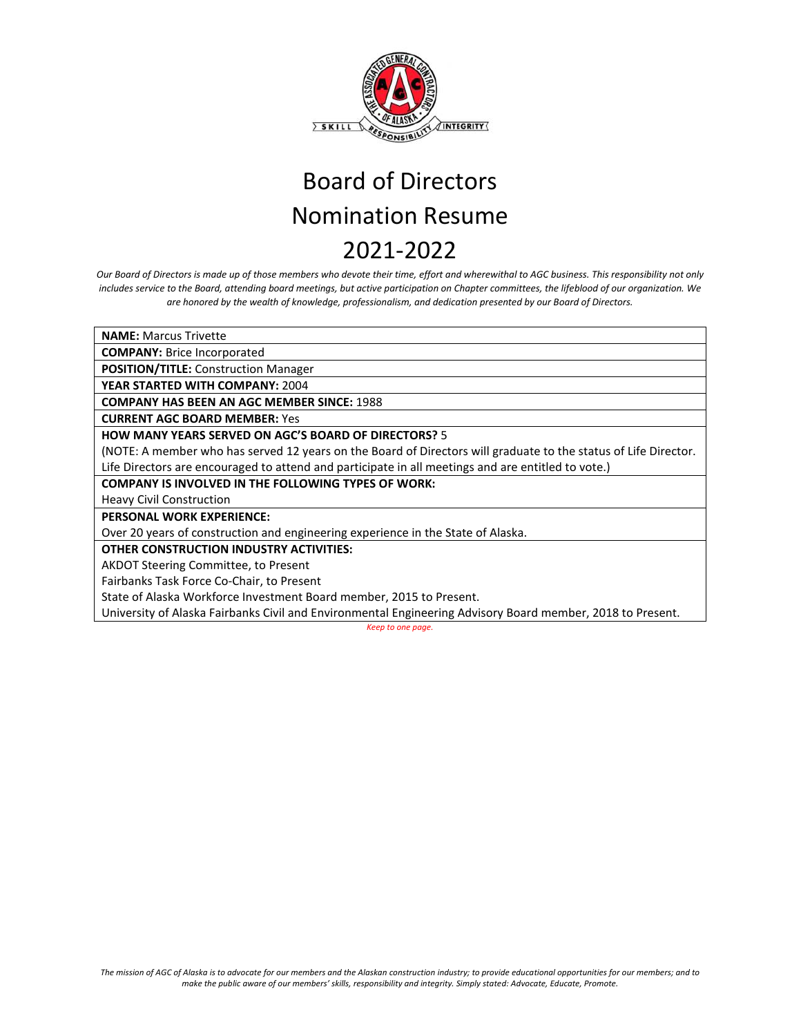

*Our Board of Directors is made up of those members who devote their time, effort and wherewithal to AGC business. This responsibility not only includes service to the Board, attending board meetings, but active participation on Chapter committees, the lifeblood of our organization. We are honored by the wealth of knowledge, professionalism, and dedication presented by our Board of Directors.*

**NAME:** Marcus Trivette

**COMPANY:** Brice Incorporated

**POSITION/TITLE:** Construction Manager

**YEAR STARTED WITH COMPANY:** 2004

**COMPANY HAS BEEN AN AGC MEMBER SINCE:** 1988

**CURRENT AGC BOARD MEMBER:** Yes

## **HOW MANY YEARS SERVED ON AGC'S BOARD OF DIRECTORS?** 5

(NOTE: A member who has served 12 years on the Board of Directors will graduate to the status of Life Director. Life Directors are encouraged to attend and participate in all meetings and are entitled to vote.)

## **COMPANY IS INVOLVED IN THE FOLLOWING TYPES OF WORK:**

Heavy Civil Construction

**PERSONAL WORK EXPERIENCE:**

Over 20 years of construction and engineering experience in the State of Alaska.

**OTHER CONSTRUCTION INDUSTRY ACTIVITIES:**

AKDOT Steering Committee, to Present

Fairbanks Task Force Co-Chair, to Present

State of Alaska Workforce Investment Board member, 2015 to Present.

University of Alaska Fairbanks Civil and Environmental Engineering Advisory Board member, 2018 to Present.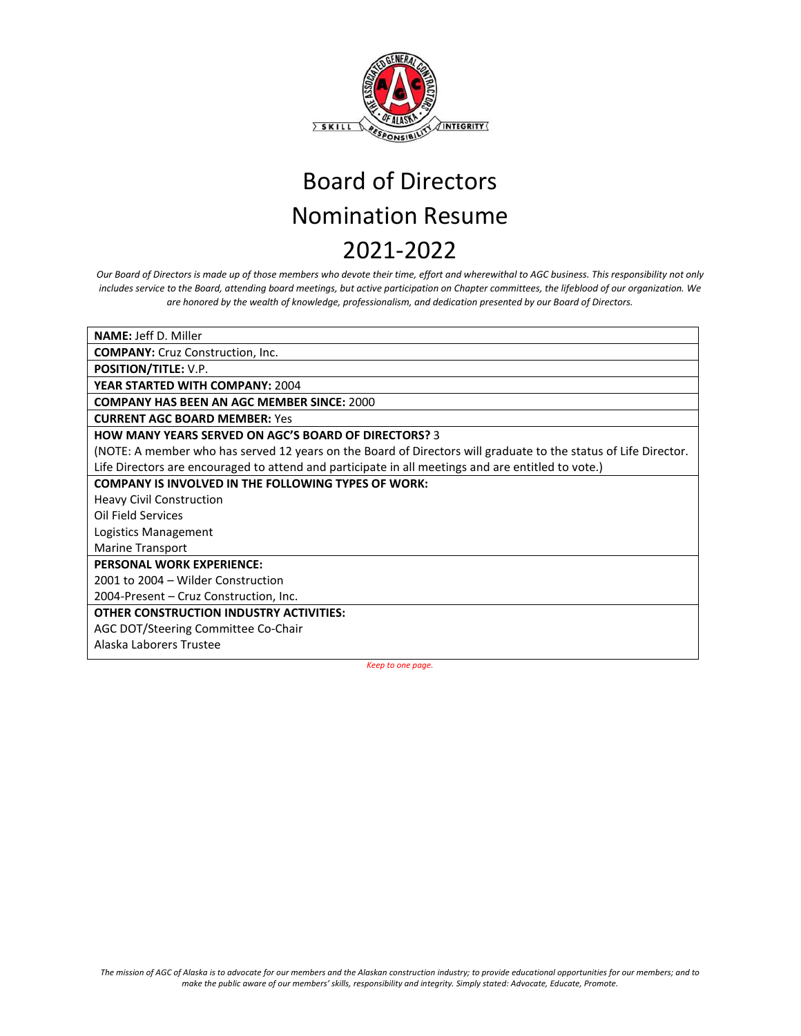

*Our Board of Directors is made up of those members who devote their time, effort and wherewithal to AGC business. This responsibility not only includes service to the Board, attending board meetings, but active participation on Chapter committees, the lifeblood of our organization. We are honored by the wealth of knowledge, professionalism, and dedication presented by our Board of Directors.*

| <b>NAME: Jeff D. Miller</b>                                                                                     |
|-----------------------------------------------------------------------------------------------------------------|
| <b>COMPANY:</b> Cruz Construction, Inc.                                                                         |
| <b>POSITION/TITLE: V.P.</b>                                                                                     |
| <b>YEAR STARTED WITH COMPANY: 2004</b>                                                                          |
| <b>COMPANY HAS BEEN AN AGC MEMBER SINCE: 2000</b>                                                               |
| <b>CURRENT AGC BOARD MEMBER: Yes</b>                                                                            |
| <b>HOW MANY YEARS SERVED ON AGC'S BOARD OF DIRECTORS? 3</b>                                                     |
| (NOTE: A member who has served 12 years on the Board of Directors will graduate to the status of Life Director. |
| Life Directors are encouraged to attend and participate in all meetings and are entitled to vote.)              |
| <b>COMPANY IS INVOLVED IN THE FOLLOWING TYPES OF WORK:</b>                                                      |
| <b>Heavy Civil Construction</b>                                                                                 |
| Oil Field Services                                                                                              |
| Logistics Management                                                                                            |
| Marine Transport                                                                                                |
| <b>PERSONAL WORK EXPERIENCE:</b>                                                                                |
| 2001 to 2004 – Wilder Construction                                                                              |
| 2004-Present - Cruz Construction, Inc.                                                                          |
| <b>OTHER CONSTRUCTION INDUSTRY ACTIVITIES:</b>                                                                  |
| AGC DOT/Steering Committee Co-Chair                                                                             |
| Alaska Laborers Trustee                                                                                         |
|                                                                                                                 |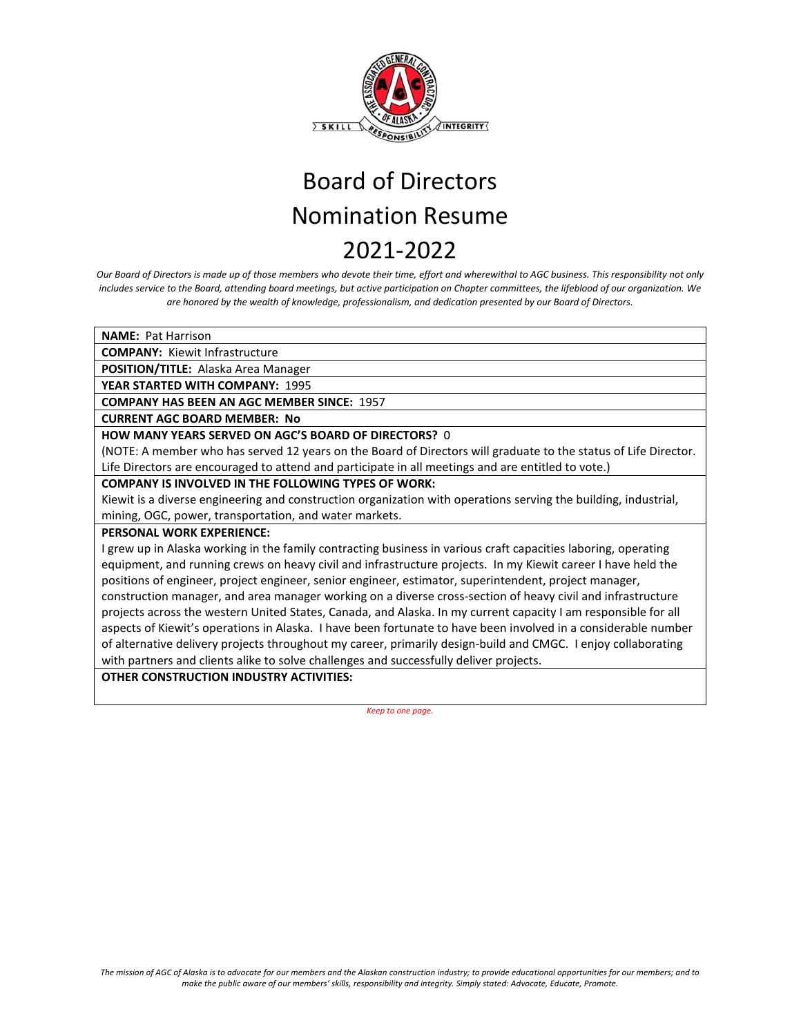

*Our Board of Directors is made up of those members who devote their time, effort and wherewithal to AGC business. This responsibility not only includes service to the Board, attending board meetings, but active participation on Chapter committees, the lifeblood of our organization. We are honored by the wealth of knowledge, professionalism, and dedication presented by our Board of Directors.*

**NAME:** Pat Harrison

**COMPANY:** Kiewit Infrastructure

**POSITION/TITLE:** Alaska Area Manager

**YEAR STARTED WITH COMPANY:** 1995

**COMPANY HAS BEEN AN AGC MEMBER SINCE:** 1957

**CURRENT AGC BOARD MEMBER: No**

**HOW MANY YEARS SERVED ON AGC'S BOARD OF DIRECTORS?** 0

(NOTE: A member who has served 12 years on the Board of Directors will graduate to the status of Life Director. Life Directors are encouraged to attend and participate in all meetings and are entitled to vote.)

## **COMPANY IS INVOLVED IN THE FOLLOWING TYPES OF WORK:**

Kiewit is a diverse engineering and construction organization with operations serving the building, industrial, mining, OGC, power, transportation, and water markets.

## **PERSONAL WORK EXPERIENCE:**

I grew up in Alaska working in the family contracting business in various craft capacities laboring, operating equipment, and running crews on heavy civil and infrastructure projects. In my Kiewit career I have held the positions of engineer, project engineer, senior engineer, estimator, superintendent, project manager, construction manager, and area manager working on a diverse cross-section of heavy civil and infrastructure projects across the western United States, Canada, and Alaska. In my current capacity I am responsible for all aspects of Kiewit's operations in Alaska. I have been fortunate to have been involved in a considerable number of alternative delivery projects throughout my career, primarily design-build and CMGC. I enjoy collaborating with partners and clients alike to solve challenges and successfully deliver projects.

**OTHER CONSTRUCTION INDUSTRY ACTIVITIES:**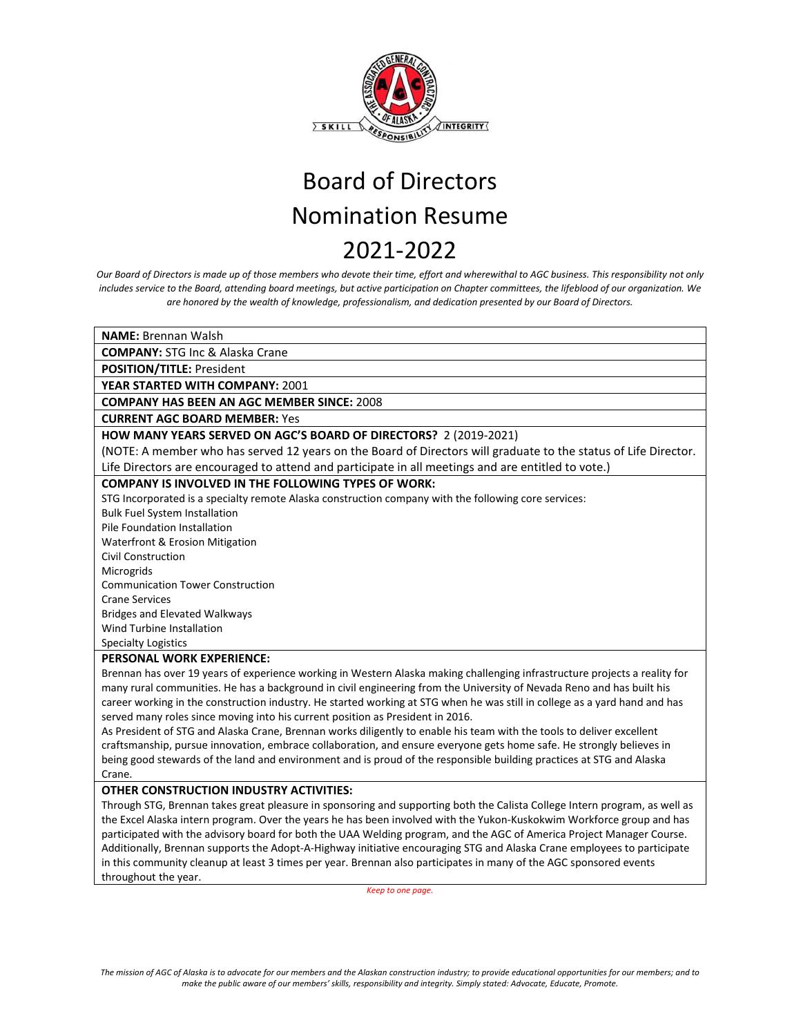

*Our Board of Directors is made up of those members who devote their time, effort and wherewithal to AGC business. This responsibility not only includes service to the Board, attending board meetings, but active participation on Chapter committees, the lifeblood of our organization. We are honored by the wealth of knowledge, professionalism, and dedication presented by our Board of Directors.*

**NAME:** Brennan Walsh

**COMPANY:** STG Inc & Alaska Crane

**POSITION/TITLE:** President

**YEAR STARTED WITH COMPANY:** 2001

**COMPANY HAS BEEN AN AGC MEMBER SINCE:** 2008

**CURRENT AGC BOARD MEMBER:** Yes

## **HOW MANY YEARS SERVED ON AGC'S BOARD OF DIRECTORS?** 2 (2019-2021)

(NOTE: A member who has served 12 years on the Board of Directors will graduate to the status of Life Director. Life Directors are encouraged to attend and participate in all meetings and are entitled to vote.)

## **COMPANY IS INVOLVED IN THE FOLLOWING TYPES OF WORK:**

STG Incorporated is a specialty remote Alaska construction company with the following core services:

Bulk Fuel System Installation

Pile Foundation Installation

Waterfront & Erosion Mitigation

Civil Construction

Microgrids

Communication Tower Construction

Crane Services

Bridges and Elevated Walkways

Wind Turbine Installation

Specialty Logistics

#### **PERSONAL WORK EXPERIENCE:**

Brennan has over 19 years of experience working in Western Alaska making challenging infrastructure projects a reality for many rural communities. He has a background in civil engineering from the University of Nevada Reno and has built his career working in the construction industry. He started working at STG when he was still in college as a yard hand and has served many roles since moving into his current position as President in 2016.

As President of STG and Alaska Crane, Brennan works diligently to enable his team with the tools to deliver excellent craftsmanship, pursue innovation, embrace collaboration, and ensure everyone gets home safe. He strongly believes in being good stewards of the land and environment and is proud of the responsible building practices at STG and Alaska Crane.

#### **OTHER CONSTRUCTION INDUSTRY ACTIVITIES:**

Through STG, Brennan takes great pleasure in sponsoring and supporting both the Calista College Intern program, as well as the Excel Alaska intern program. Over the years he has been involved with the Yukon-Kuskokwim Workforce group and has participated with the advisory board for both the UAA Welding program, and the AGC of America Project Manager Course. Additionally, Brennan supports the Adopt-A-Highway initiative encouraging STG and Alaska Crane employees to participate in this community cleanup at least 3 times per year. Brennan also participates in many of the AGC sponsored events throughout the year.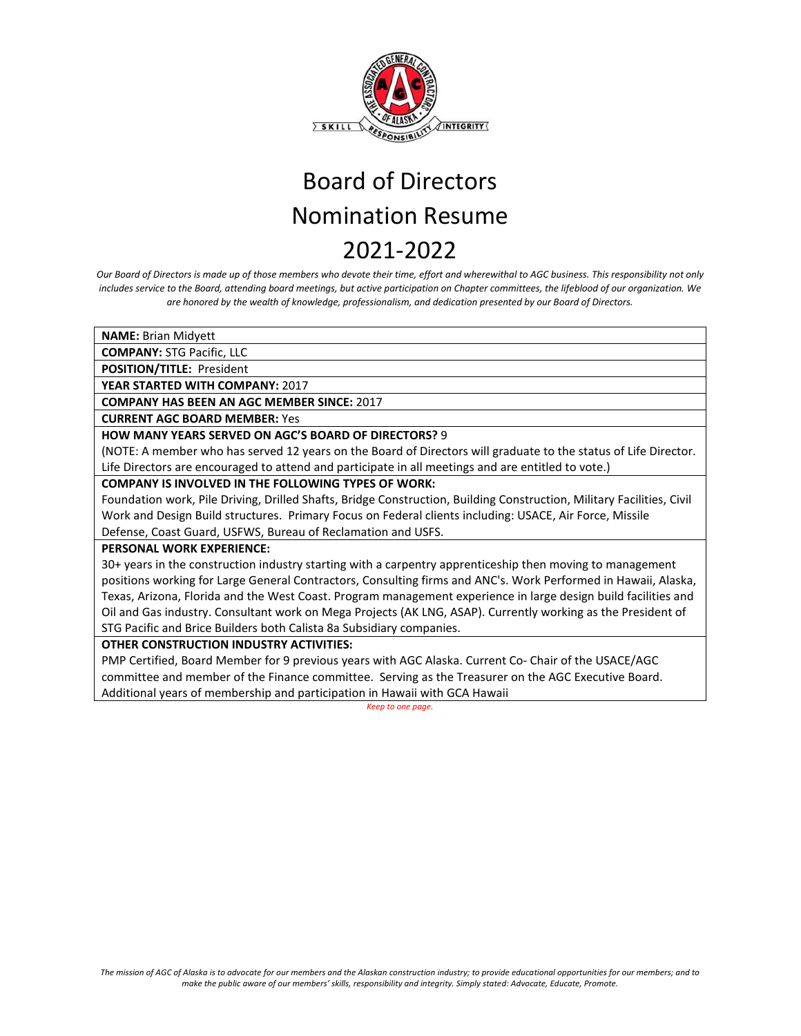

*Our Board of Directors is made up of those members who devote their time, effort and wherewithal to AGC business. This responsibility not only includes service to the Board, attending board meetings, but active participation on Chapter committees, the lifeblood of our organization. We are honored by the wealth of knowledge, professionalism, and dedication presented by our Board of Directors.*

**NAME:** Brian Midyett

**COMPANY:** STG Pacific, LLC

**POSITION/TITLE:** President

**YEAR STARTED WITH COMPANY:** 2017

**COMPANY HAS BEEN AN AGC MEMBER SINCE:** 2017

**CURRENT AGC BOARD MEMBER:** Yes

**HOW MANY YEARS SERVED ON AGC'S BOARD OF DIRECTORS?** 9

(NOTE: A member who has served 12 years on the Board of Directors will graduate to the status of Life Director. Life Directors are encouraged to attend and participate in all meetings and are entitled to vote.)

### **COMPANY IS INVOLVED IN THE FOLLOWING TYPES OF WORK:**

Foundation work, Pile Driving, Drilled Shafts, Bridge Construction, Building Construction, Military Facilities, Civil Work and Design Build structures. Primary Focus on Federal clients including: USACE, Air Force, Missile Defense, Coast Guard, USFWS, Bureau of Reclamation and USFS.

## **PERSONAL WORK EXPERIENCE:**

30+ years in the construction industry starting with a carpentry apprenticeship then moving to management positions working for Large General Contractors, Consulting firms and ANC's. Work Performed in Hawaii, Alaska, Texas, Arizona, Florida and the West Coast. Program management experience in large design build facilities and Oil and Gas industry. Consultant work on Mega Projects (AK LNG, ASAP). Currently working as the President of STG Pacific and Brice Builders both Calista 8a Subsidiary companies.

## **OTHER CONSTRUCTION INDUSTRY ACTIVITIES:**

PMP Certified, Board Member for 9 previous years with AGC Alaska. Current Co- Chair of the USACE/AGC committee and member of the Finance committee. Serving as the Treasurer on the AGC Executive Board. Additional years of membership and participation in Hawaii with GCA Hawaii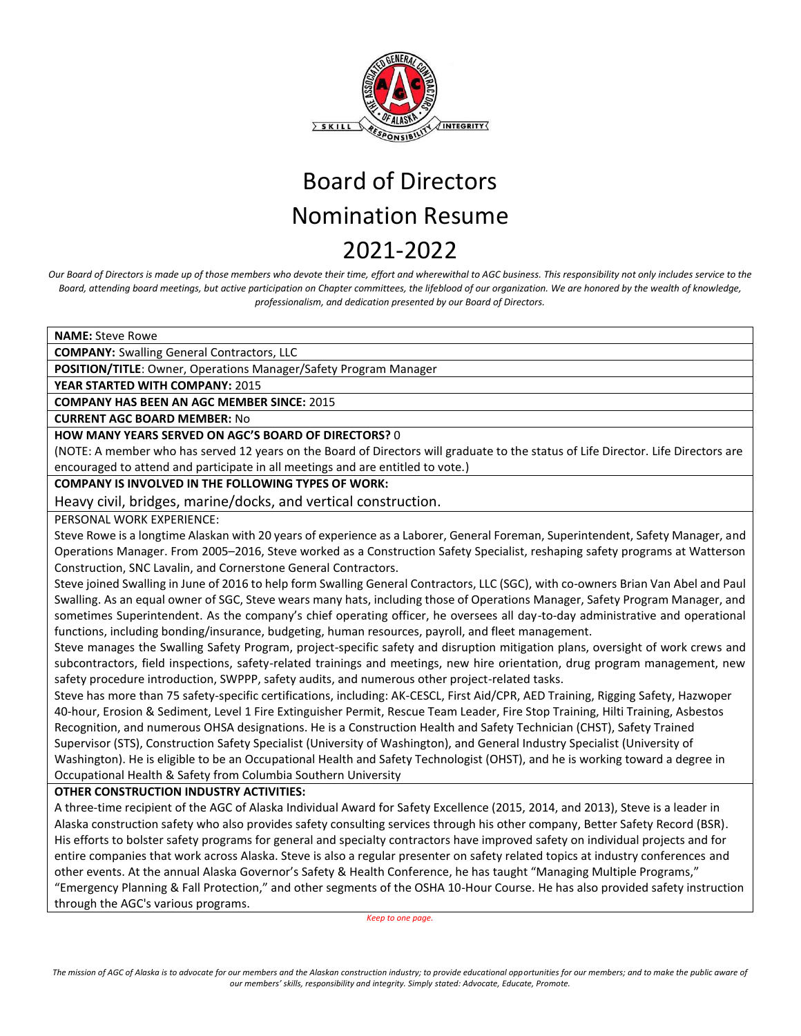

*Our Board of Directors is made up of those members who devote their time, effort and wherewithal to AGC business. This responsibility not only includes service to the Board, attending board meetings, but active participation on Chapter committees, the lifeblood of our organization. We are honored by the wealth of knowledge, professionalism, and dedication presented by our Board of Directors.* 

**NAME:** Steve Rowe

**COMPANY:** Swalling General Contractors, LLC

**POSITION/TITLE**: Owner, Operations Manager/Safety Program Manager

**YEAR STARTED WITH COMPANY:** 2015

**COMPANY HAS BEEN AN AGC MEMBER SINCE:** 2015

**CURRENT AGC BOARD MEMBER:** No

## **HOW MANY YEARS SERVED ON AGC'S BOARD OF DIRECTORS?** 0

(NOTE: A member who has served 12 years on the Board of Directors will graduate to the status of Life Director. Life Directors are encouraged to attend and participate in all meetings and are entitled to vote.)

## **COMPANY IS INVOLVED IN THE FOLLOWING TYPES OF WORK:**

Heavy civil, bridges, marine/docks, and vertical construction.

PERSONAL WORK EXPERIENCE:

Steve Rowe is a longtime Alaskan with 20 years of experience as a Laborer, General Foreman, Superintendent, Safety Manager, and Operations Manager. From 2005–2016, Steve worked as a Construction Safety Specialist, reshaping safety programs at Watterson Construction, SNC Lavalin, and Cornerstone General Contractors.

Steve joined Swalling in June of 2016 to help form Swalling General Contractors, LLC (SGC), with co-owners Brian Van Abel and Paul Swalling. As an equal owner of SGC, Steve wears many hats, including those of Operations Manager, Safety Program Manager, and sometimes Superintendent. As the company's chief operating officer, he oversees all day-to-day administrative and operational functions, including bonding/insurance, budgeting, human resources, payroll, and fleet management.

Steve manages the Swalling Safety Program, project-specific safety and disruption mitigation plans, oversight of work crews and subcontractors, field inspections, safety-related trainings and meetings, new hire orientation, drug program management, new safety procedure introduction, SWPPP, safety audits, and numerous other project-related tasks.

Steve has more than 75 safety-specific certifications, including: AK-CESCL, First Aid/CPR, AED Training, Rigging Safety, Hazwoper 40-hour, Erosion & Sediment, Level 1 Fire Extinguisher Permit, Rescue Team Leader, Fire Stop Training, Hilti Training, Asbestos Recognition, and numerous OHSA designations. He is a Construction Health and Safety Technician (CHST), Safety Trained Supervisor (STS), Construction Safety Specialist (University of Washington), and General Industry Specialist (University of Washington). He is eligible to be an Occupational Health and Safety Technologist (OHST), and he is working toward a degree in Occupational Health & Safety from Columbia Southern University

## **OTHER CONSTRUCTION INDUSTRY ACTIVITIES:**

A three-time recipient of the AGC of Alaska Individual Award for Safety Excellence (2015, 2014, and 2013), Steve is a leader in Alaska construction safety who also provides safety consulting services through his other company, Better Safety Record (BSR). His efforts to bolster safety programs for general and specialty contractors have improved safety on individual projects and for entire companies that work across Alaska. Steve is also a regular presenter on safety related topics at industry conferences and other events. At the annual Alaska Governor's Safety & Health Conference, he has taught "Managing Multiple Programs," "Emergency Planning & Fall Protection," and other segments of the OSHA 10-Hour Course. He has also provided safety instruction through the AGC's various programs.

*Keep to one page.* 

*The mission of AGC of Alaska is to advocate for our members and the Alaskan construction industry; to provide educational opportunities for our members; and to make the public aware of our members' skills, responsibility and integrity. Simply stated: Advocate, Educate, Promote.*